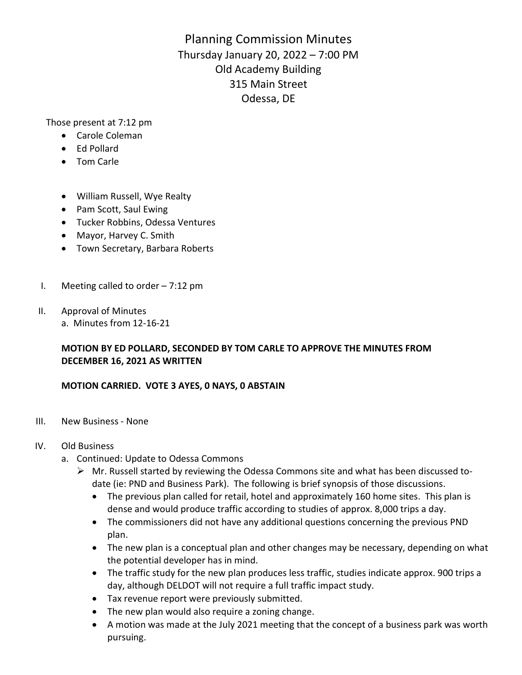Planning Commission Minutes Thursday January 20, 2022 – 7:00 PM Old Academy Building 315 Main Street Odessa, DE

Those present at 7:12 pm

- Carole Coleman
- Ed Pollard
- Tom Carle
- William Russell, Wye Realty
- Pam Scott, Saul Ewing
- Tucker Robbins, Odessa Ventures
- Mayor, Harvey C. Smith
- Town Secretary, Barbara Roberts
- I. Meeting called to order 7:12 pm
- II. Approval of Minutes
	- a. Minutes from 12-16-21

# MOTION BY ED POLLARD, SECONDED BY TOM CARLE TO APPROVE THE MINUTES FROM DECEMBER 16, 2021 AS WRITTEN

### MOTION CARRIED. VOTE 3 AYES, 0 NAYS, 0 ABSTAIN

III. New Business - None

#### IV. Old Business

- a. Continued: Update to Odessa Commons
	- Mr. Russell started by reviewing the Odessa Commons site and what has been discussed todate (ie: PND and Business Park). The following is brief synopsis of those discussions.
		- The previous plan called for retail, hotel and approximately 160 home sites. This plan is dense and would produce traffic according to studies of approx. 8,000 trips a day.
		- The commissioners did not have any additional questions concerning the previous PND plan.
		- The new plan is a conceptual plan and other changes may be necessary, depending on what the potential developer has in mind.
		- The traffic study for the new plan produces less traffic, studies indicate approx. 900 trips a day, although DELDOT will not require a full traffic impact study.
		- Tax revenue report were previously submitted.
		- The new plan would also require a zoning change.
		- A motion was made at the July 2021 meeting that the concept of a business park was worth pursuing.